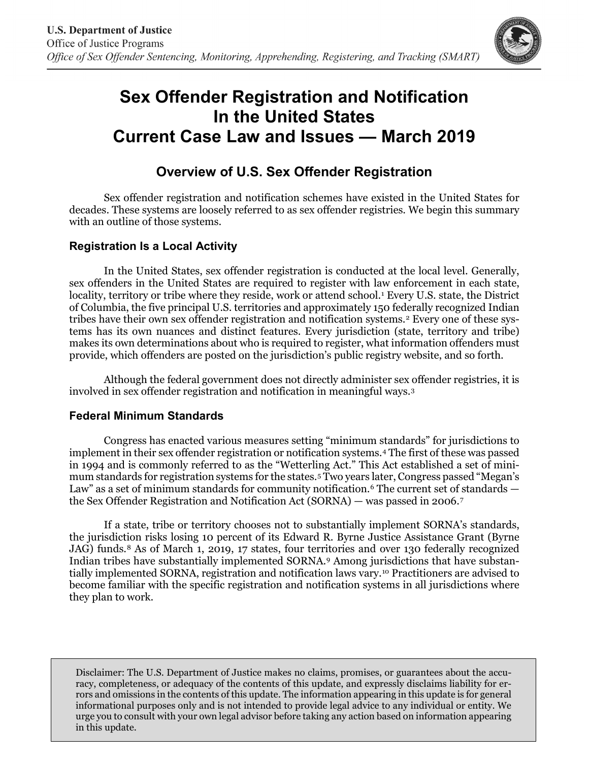

# **Sex Offender Registration and Notification In the United States Current Case Law and Issues — March 2019**

# **Overview of U.S. Sex Offender Registration**

Sex offender registration and notification schemes have existed in the United States for decades. These systems are loosely referred to as sex offender registries. We begin this summary with an outline of those systems.

## **Registration Is a Local Activity**

In the United States, sex offender registration is conducted at the local level. Generally, sex offenders in the United States are required to register with law enforcement in each state, locality, territory or tribe where they reside, work or attend school.<sup>1</sup> Every U.S. state, the District of Columbia, the five principal U.S. territories and approximately 150 federally recognized Indian tribes have their own sex offender registration and notification systems.[2](#page-3-1) Every one of these systems has its own nuances and distinct features. Every jurisdiction (state, territory and tribe) makes its own determinations about who is required to register, what information offenders must provide, which offenders are posted on the jurisdiction's public registry website, and so forth.

Although the federal government does not directly administer sex offender registries, it is involved in sex offender registration and notification in meaningful ways.[3](#page-3-2)

#### **Federal Minimum Standards**

Congress has enacted various measures setting "minimum standards" for jurisdictions to implement in their sex offender registration or notification systems.[4](#page-3-3) The first of these was passed in 1994 and is commonly referred to as the "Wetterling Act." This Act established a set of minimum standards for registration systems for the states.[5](#page-3-4) Two years later, Congress passed "Megan's Law" as a set of minimum standards for community notification.<sup>[6](#page-3-5)</sup> The current set of standards the Sex Offender Registration and Notification Act (SORNA) — was passed in 2006.[7](#page-3-6)

If a state, tribe or territory chooses not to substantially implement SORNA's standards, the jurisdiction risks losing 10 percent of its Edward R. Byrne Justice Assistance Grant (Byrne JAG) funds.<sup>[8](#page-3-7)</sup> As of March 1, 2019, 17 states, four territories and over 130 federally recognized Indian tribes have substantially implemented SORNA[.9](#page-4-0) Among jurisdictions that have substantially implemented SORNA, registration and notification laws vary.[10](#page-4-1) Practitioners are advised to become familiar with the specific registration and notification systems in all jurisdictions where they plan to work.

Disclaimer: The U.S. Department of Justice makes no claims, promises, or guarantees about the accuracy, completeness, or adequacy of the contents of this update, and expressly disclaims liability for errors and omissions in the contents of this update. The information appearing in this update is for general informational purposes only and is not intended to provide legal advice to any individual or entity. We urge you to consult with your own legal advisor before taking any action based on information appearing in this update.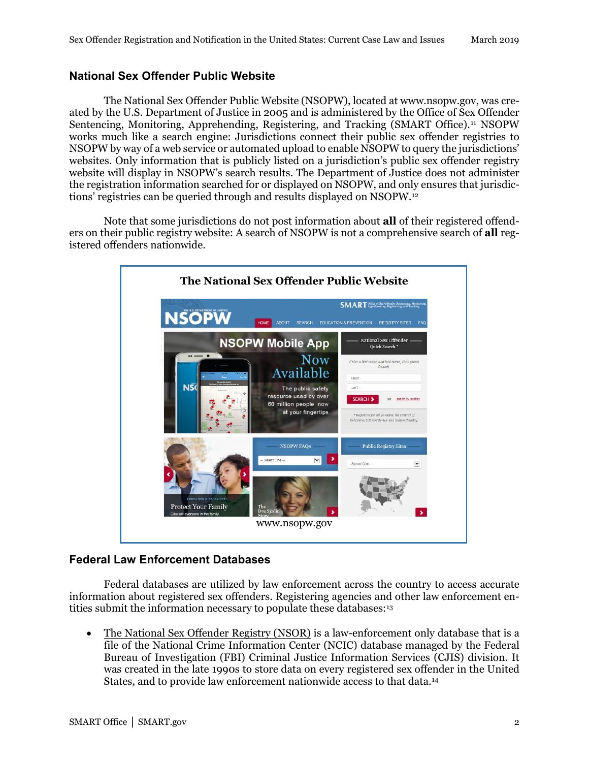#### **National Sex Offender Public Website**

The National Sex Offender Public Website (NSOPW), located at www.nsopw.gov, was created by the U.S. Department of Justice in 2005 and is administered by the Office of Sex Offender Sentencing, Monitoring, Apprehending, Registering, and Tracking (SMART Office).[11](#page-4-2) NSOPW works much like a search engine: Jurisdictions connect their public sex offender registries to NSOPW by way of a web service or automated upload to enable NSOPW to query the jurisdictions' websites. Only information that is publicly listed on a jurisdiction's public sex offender registry website will display in NSOPW's search results. The Department of Justice does not administer the registration information searched for or displayed on NSOPW, and only ensures that jurisdictions' registries can be queried through and results displayed on NSOPW.[12](#page-4-3)

Note that some jurisdictions do not post information about **all** of their registered offenders on their public registry website: A search of NSOPW is not a comprehensive search of **all** registered offenders nationwide.



#### **Federal Law Enforcement Databases**

Federal databases are utilized by law enforcement across the country to access accurate information about registered sex offenders. Registering agencies and other law enforcement en-tities submit the information necessary to populate these databases:<sup>[13](#page-4-4)</sup>

• The National Sex Offender Registry (NSOR) is a law-enforcement only database that is a file of the National Crime Information Center (NCIC) database managed by the Federal Bureau of Investigation (FBI) Criminal Justice Information Services (CJIS) division. It was created in the late 1990s to store data on every registered sex offender in the United States, and to provide law enforcement nationwide access to that data.[14](#page-4-5)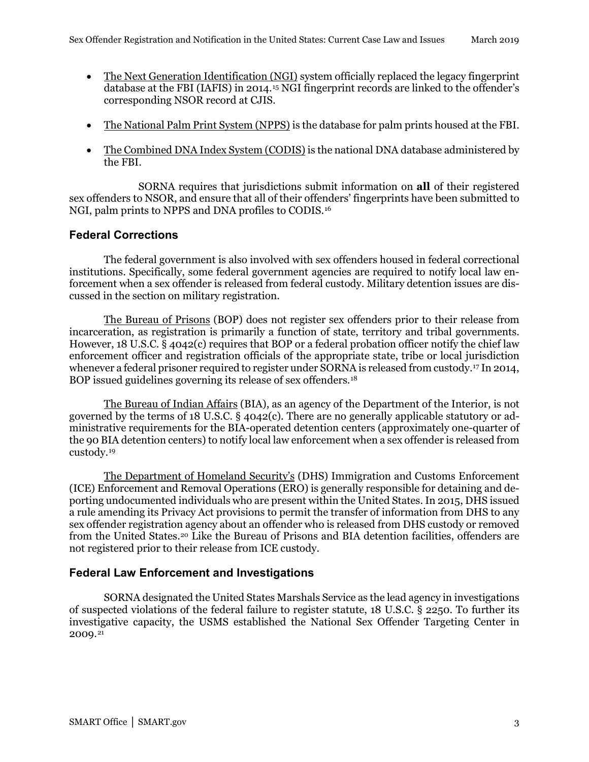- The Next Generation Identification (NGI) system officially replaced the legacy fingerprint database at the FBI (IAFIS) in 2014.[15](#page-4-6) NGI fingerprint records are linked to the offender's corresponding NSOR record at CJIS.
- The National Palm Print System (NPPS) is the database for palm prints housed at the FBI.
- The Combined DNA Index System (CODIS) is the national DNA database administered by the FBI.

SORNA requires that jurisdictions submit information on **all** of their registered sex offenders to NSOR, and ensure that all of their offenders' fingerprints have been submitted to NGI, palm prints to NPPS and DNA profiles to CODIS[.16](#page-4-7)

# **Federal Corrections**

The federal government is also involved with sex offenders housed in federal correctional institutions. Specifically, some federal government agencies are required to notify local law enforcement when a sex offender is released from federal custody. Military detention issues are discussed in the section on military registration.

The Bureau of Prisons (BOP) does not register sex offenders prior to their release from incarceration, as registration is primarily a function of state, territory and tribal governments. However, 18 U.S.C. § 4042(c) requires that BOP or a federal probation officer notify the chief law enforcement officer and registration officials of the appropriate state, tribe or local jurisdiction whenever a federal prisoner required to register under SORNA is released from custody.[17](#page-4-8) In 2014, BOP issued guidelines governing its release of sex offenders.[18](#page-4-9)

The Bureau of Indian Affairs (BIA), as an agency of the Department of the Interior, is not governed by the terms of 18 U.S.C. § 4042(c). There are no generally applicable statutory or administrative requirements for the BIA-operated detention centers (approximately one-quarter of the 90 BIA detention centers) to notify local law enforcement when a sex offender is released from custody.[19](#page-4-10)

The Department of Homeland Security's (DHS) Immigration and Customs Enforcement (ICE) Enforcement and Removal Operations (ERO) is generally responsible for detaining and deporting undocumented individuals who are present within the United States. In 2015, DHS issued a rule amending its Privacy Act provisions to permit the transfer of information from DHS to any sex offender registration agency about an offender who is released from DHS custody or removed from the United States.<sup>[20](#page-4-11)</sup> Like the Bureau of Prisons and BIA detention facilities, offenders are not registered prior to their release from ICE custody.

## **Federal Law Enforcement and Investigations**

SORNA designated the United States Marshals Service as the lead agency in investigations of suspected violations of the federal failure to register statute, 18 U.S.C. § 2250. To further its investigative capacity, the USMS established the National Sex Offender Targeting Center in 2009.[21](#page-4-12)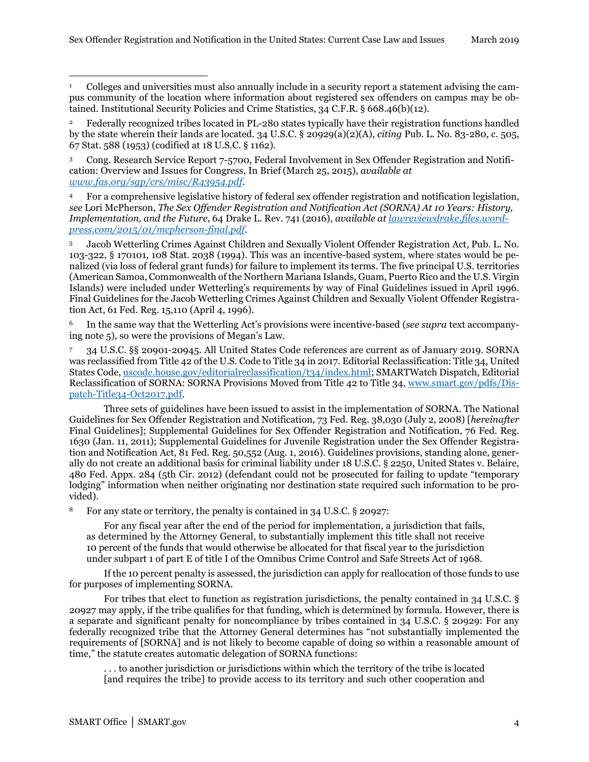<span id="page-3-0"></span><sup>1</sup> Colleges and universities must also annually include in a security report a statement advising the campus community of the location where information about registered sex offenders on campus may be obtained. Institutional Security Policies and Crime Statistics, 34 C.F.R. § 668.46(b)(12).  $\overline{a}$ 

<span id="page-3-1"></span><sup>2</sup> Federally recognized tribes located in PL-280 states typically have their registration functions handled by the state wherein their lands are located. 34 U.S.C. § 20929(a)(2)(A), *citing* Pub. L. No. 83-280, c. 505, 67 Stat. 588 (1953) (codified at 18 U.S.C. § 1162).

<span id="page-3-2"></span><sup>3</sup> Cong. Research Service Report 7-5700, Federal Involvement in Sex Offender Registration and Notification: Overview and Issues for Congress, In Brief (March 25, 2015), *available at [www.fas.org/sgp/crs/misc/R43954.pdf](https://www.fas.org/sgp/crs/misc/R43954.pdf)*.

<span id="page-3-3"></span><sup>4</sup> For a comprehensive legislative history of federal sex offender registration and notification legislation, *see* Lori McPherson, *The Sex Offender Registration and Notification Act (SORNA) At 10 Years: History, Implementation, and the Future*, 64 Drake L. Rev. 741 (2016), *available at [lawreviewdrake.files.word](https://lawreviewdrake.files.wordpress.com/2015/01/mcpherson-final.pdf)[press.com/2015/01/mcpherson-final.pdf](https://lawreviewdrake.files.wordpress.com/2015/01/mcpherson-final.pdf)*.

<span id="page-3-4"></span><sup>5</sup> Jacob Wetterling Crimes Against Children and Sexually Violent Offender Registration Act, Pub. L. No. 103-322, § 170101, 108 Stat. 2038 (1994). This was an incentive-based system, where states would be penalized (via loss of federal grant funds) for failure to implement its terms. The five principal U.S. territories (American Samoa, Commonwealth of the Northern Mariana Islands, Guam, Puerto Rico and the U.S. Virgin Islands) were included under Wetterling's requirements by way of Final Guidelines issued in April 1996. Final Guidelines for the Jacob Wetterling Crimes Against Children and Sexually Violent Offender Registration Act, 61 Fed. Reg. 15,110 (April 4, 1996).

<span id="page-3-5"></span><sup>6</sup> In the same way that the Wetterling Act's provisions were incentive-based (*see supra* text accompanying note 5), so were the provisions of Megan's Law.

<span id="page-3-6"></span><sup>7</sup> 34 U.S.C. §§ 20901-20945*.* All United States Code references are current as of January 2019. SORNA was reclassified from Title 42 of the U.S. Code to Title 34 in 2017. Editorial Reclassification: Title 34, United States Code, [uscode.house.gov/editorialreclassification/t34/index.html;](http://uscode.house.gov/editorialreclassification/t34/index.html) SMARTWatch Dispatch, Editorial Reclassification of SORNA: SORNA Provisions Moved from Title 42 to Title 34, [www.smart.gov/pdfs/Dis](https://www.smart.gov/pdfs/Dispatch-Title34-Oct2017.pdf)[patch-Title34-Oct2017.pdf.](https://www.smart.gov/pdfs/Dispatch-Title34-Oct2017.pdf)

Three sets of guidelines have been issued to assist in the implementation of SORNA. The National Guidelines for Sex Offender Registration and Notification, 73 Fed. Reg. 38,030 (July 2, 2008) [*hereinafter*  Final Guidelines]; Supplemental Guidelines for Sex Offender Registration and Notification, 76 Fed. Reg. 1630 (Jan. 11, 2011); Supplemental Guidelines for Juvenile Registration under the Sex Offender Registration and Notification Act, 81 Fed. Reg. 50,552 (Aug. 1, 2016). Guidelines provisions, standing alone, generally do not create an additional basis for criminal liability under 18 U.S.C. § 2250, United States v. Belaire, 480 Fed. Appx. 284 (5th Cir. 2012) (defendant could not be prosecuted for failing to update "temporary lodging" information when neither originating nor destination state required such information to be provided).

<span id="page-3-7"></span><sup>8</sup> For any state or territory, the penalty is contained in 34 U.S.C. § 20927:

For any fiscal year after the end of the period for implementation, a jurisdiction that fails, as determined by the Attorney General, to substantially implement this title shall not receive 10 percent of the funds that would otherwise be allocated for that fiscal year to the jurisdiction under subpart 1 of part E of title I of the Omnibus Crime Control and Safe Streets Act of 1968.

If the 10 percent penalty is assessed, the jurisdiction can apply for reallocation of those funds to use for purposes of implementing SORNA.

For tribes that elect to function as registration jurisdictions, the penalty contained in 34 U.S.C. § 20927 may apply, if the tribe qualifies for that funding, which is determined by formula. However, there is a separate and significant penalty for noncompliance by tribes contained in 34 U.S.C. § 20929: For any federally recognized tribe that the Attorney General determines has "not substantially implemented the requirements of [SORNA] and is not likely to become capable of doing so within a reasonable amount of time," the statute creates automatic delegation of SORNA functions:

. . . to another jurisdiction or jurisdictions within which the territory of the tribe is located [and requires the tribe] to provide access to its territory and such other cooperation and